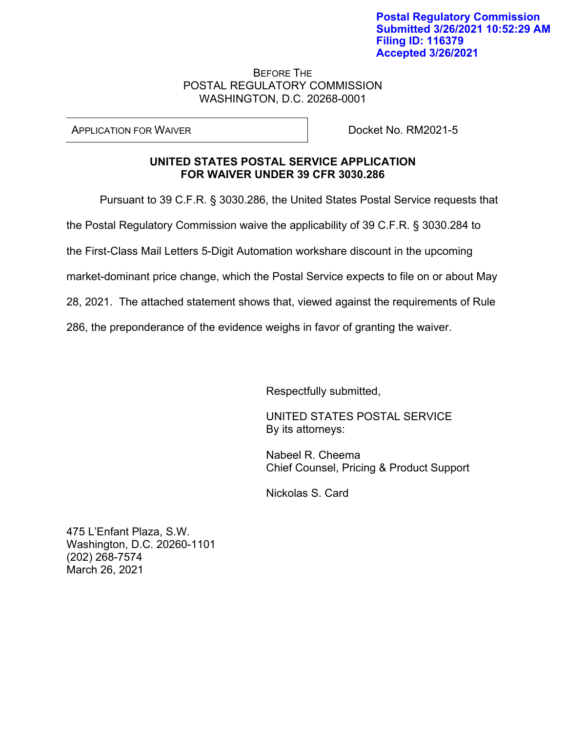## BEFORE THE POSTAL REGULATORY COMMISSION WASHINGTON, D.C. 20268-0001

APPLICATION FOR WAIVER Docket No. RM2021-5

## **UNITED STATES POSTAL SERVICE APPLICATION FOR WAIVER UNDER 39 CFR 3030.286**

Pursuant to 39 C.F.R. § 3030.286, the United States Postal Service requests that

the Postal Regulatory Commission waive the applicability of 39 C.F.R. § 3030.284 to

the First-Class Mail Letters 5-Digit Automation workshare discount in the upcoming

market-dominant price change, which the Postal Service expects to file on or about May

28, 2021. The attached statement shows that, viewed against the requirements of Rule

286, the preponderance of the evidence weighs in favor of granting the waiver.

Respectfully submitted,

UNITED STATES POSTAL SERVICE By its attorneys:

Nabeel R. Cheema Chief Counsel, Pricing & Product Support

Nickolas S. Card

475 L'Enfant Plaza, S.W. Washington, D.C. 20260-1101 (202) 268-7574 March 26, 2021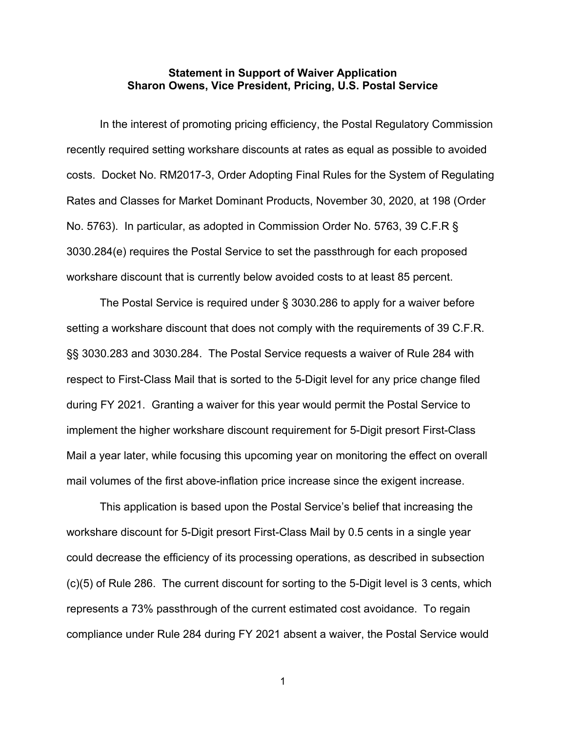## **Statement in Support of Waiver Application Sharon Owens, Vice President, Pricing, U.S. Postal Service**

In the interest of promoting pricing efficiency, the Postal Regulatory Commission recently required setting workshare discounts at rates as equal as possible to avoided costs. Docket No. RM2017-3, Order Adopting Final Rules for the System of Regulating Rates and Classes for Market Dominant Products, November 30, 2020, at 198 (Order No. 5763). In particular, as adopted in Commission Order No. 5763, 39 C.F.R § 3030.284(e) requires the Postal Service to set the passthrough for each proposed workshare discount that is currently below avoided costs to at least 85 percent.

The Postal Service is required under § 3030.286 to apply for a waiver before setting a workshare discount that does not comply with the requirements of 39 C.F.R. §§ 3030.283 and 3030.284. The Postal Service requests a waiver of Rule 284 with respect to First-Class Mail that is sorted to the 5-Digit level for any price change filed during FY 2021. Granting a waiver for this year would permit the Postal Service to implement the higher workshare discount requirement for 5-Digit presort First-Class Mail a year later, while focusing this upcoming year on monitoring the effect on overall mail volumes of the first above-inflation price increase since the exigent increase.

This application is based upon the Postal Service's belief that increasing the workshare discount for 5-Digit presort First-Class Mail by 0.5 cents in a single year could decrease the efficiency of its processing operations, as described in subsection (c)(5) of Rule 286. The current discount for sorting to the 5-Digit level is 3 cents, which represents a 73% passthrough of the current estimated cost avoidance. To regain compliance under Rule 284 during FY 2021 absent a waiver, the Postal Service would

1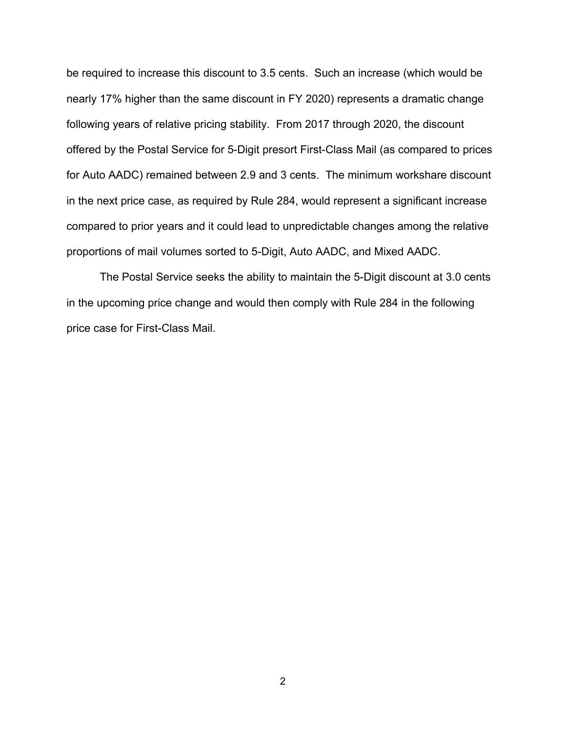be required to increase this discount to 3.5 cents. Such an increase (which would be nearly 17% higher than the same discount in FY 2020) represents a dramatic change following years of relative pricing stability. From 2017 through 2020, the discount offered by the Postal Service for 5-Digit presort First-Class Mail (as compared to prices for Auto AADC) remained between 2.9 and 3 cents. The minimum workshare discount in the next price case, as required by Rule 284, would represent a significant increase compared to prior years and it could lead to unpredictable changes among the relative proportions of mail volumes sorted to 5-Digit, Auto AADC, and Mixed AADC.

The Postal Service seeks the ability to maintain the 5-Digit discount at 3.0 cents in the upcoming price change and would then comply with Rule 284 in the following price case for First-Class Mail.